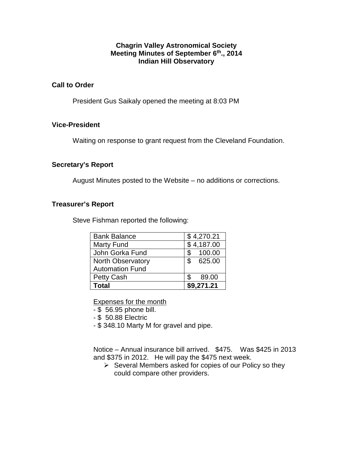#### **Chagrin Valley Astronomical Society Meeting Minutes of September 6th., 2014 Indian Hill Observatory**

#### **Call to Order**

President Gus Saikaly opened the meeting at 8:03 PM

#### **Vice-President**

Waiting on response to grant request from the Cleveland Foundation.

#### **Secretary's Report**

August Minutes posted to the Website – no additions or corrections.

#### **Treasurer's Report**

Steve Fishman reported the following:

| <b>Bank Balance</b>      |     | \$4,270.21 |
|--------------------------|-----|------------|
| <b>Marty Fund</b>        |     | \$4,187.00 |
| John Gorka Fund          | \$  | 100.00     |
| <b>North Observatory</b> |     | \$625.00   |
| <b>Automation Fund</b>   |     |            |
| Petty Cash               | \$. | 89.00      |
| Total                    |     | \$9,271.21 |

Expenses for the month

- \$ 56.95 phone bill.
- \$ 50.88 Electric
- \$ 348.10 Marty M for gravel and pipe.

Notice – Annual insurance bill arrived. \$475. Was \$425 in 2013 and \$375 in 2012. He will pay the \$475 next week.

 $\triangleright$  Several Members asked for copies of our Policy so they could compare other providers.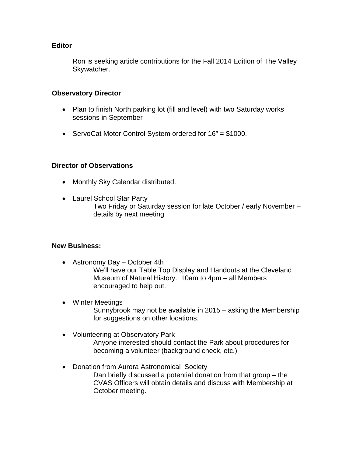#### **Editor**

Ron is seeking article contributions for the Fall 2014 Edition of The Valley Skywatcher.

#### **Observatory Director**

- Plan to finish North parking lot (fill and level) with two Saturday works sessions in September
- ServoCat Motor Control System ordered for 16" = \$1000.

### **Director of Observations**

- Monthly Sky Calendar distributed.
- Laurel School Star Party Two Friday or Saturday session for late October / early November – details by next meeting

## **New Business:**

- Astronomy Day October 4th We'll have our Table Top Display and Handouts at the Cleveland Museum of Natural History. 10am to 4pm – all Members encouraged to help out.
- Winter Meetings Sunnybrook may not be available in 2015 – asking the Membership for suggestions on other locations.
- Volunteering at Observatory Park Anyone interested should contact the Park about procedures for becoming a volunteer (background check, etc.)
- Donation from Aurora Astronomical Society Dan briefly discussed a potential donation from that group – the CVAS Officers will obtain details and discuss with Membership at October meeting.